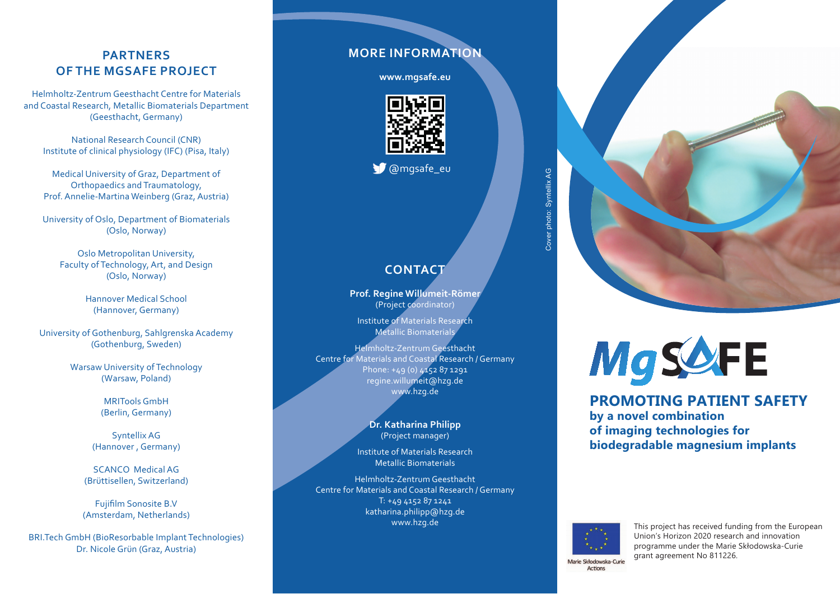### **PARTNERS OF THE MGSAFE PROJECT**

Helmholtz-Zentrum Geesthacht Centre for Materials and Coastal Research, Metallic Biomaterials Department (Geesthacht, Germany)

National Research Council (CNR) Institute of clinical physiology (IFC) (Pisa, Italy)

Medical University of Graz, Department of Orthopaedics and Traumatology, Prof. Annelie-Martina Weinberg (Graz, Austria)

University of Oslo, Department of Biomaterials (Oslo, Norway)

Oslo Metropolitan University, Faculty of Technology, Art, and Design (Oslo, Norway)

> Hannover Medical School (Hannover, Germany)

University of Gothenburg, Sahlgrenska Academy (Gothenburg, Sweden)

> Warsaw University of Technology (Warsaw, Poland)

> > MRITools GmbH (Berlin, Germany)

Syntellix AG (Hannover , Germany)

SCANCO Medical AG (Brüttisellen, Switzerland)

Fujifilm Sonosite B.V (Amsterdam, Netherlands)

BRI.Tech GmbH (BioResorbable Implant Technologies) Dr. Nicole Grün (Graz, Austria)

### **MORE INFORMATION**

**www.mgsafe.eu**



**W** @mgsafe\_eu

### CONTACT

**Prof. Regine Willumeit-Römer**  (Project coordinator)

Institute of Materials Research Metallic Biomaterials

Helmholtz-Zentrum Geesthacht Centre for Materials and Coastal Research / Germany Phone: +49 (0) 4152 87 1291 regine.willumeit@hzg.de www.hzg.de

> **Dr. Katharina Philipp**  (Project manager)

Institute of Materials Research Metallic Biomaterials

Helmholtz-Zentrum Geesthacht Centre for Materials and Coastal Research / Germany T: +49 4152 87 1241 katharina.philipp@hzg.de www.hzg.de





## **MgSAFE**

**PROMOTING PATIENT SAFETY by a novel combination of imaging technologies for biodegradable magnesium implants**



This project has received funding from the European Union's Horizon 2020 research and innovation programme under the Marie Skłodowska-Curie grant agreement No 811226.

Marie Skłodowska-Curie **Actions**